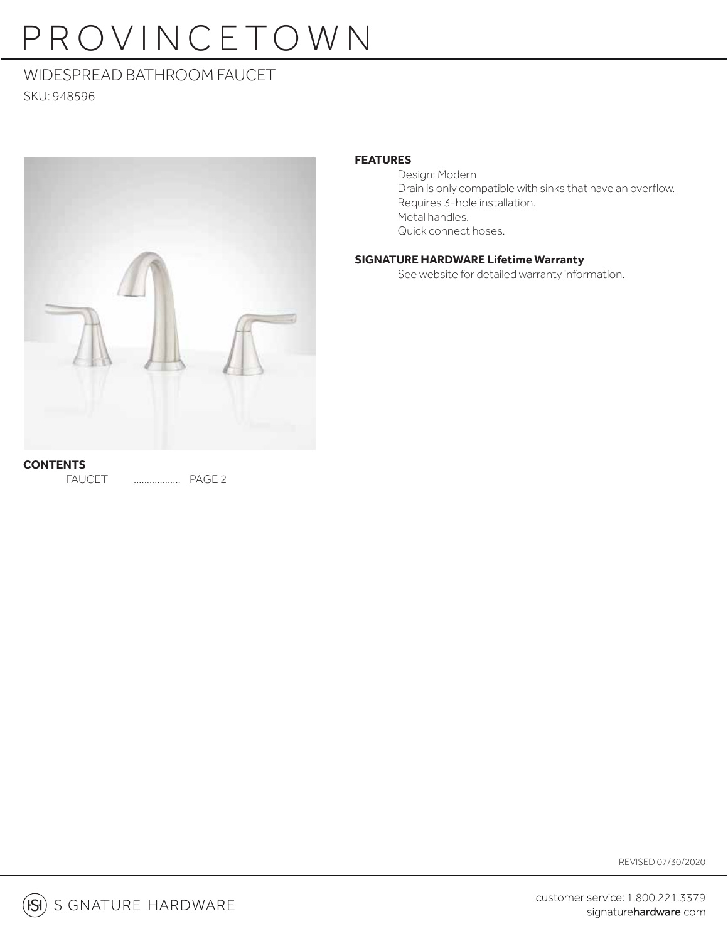# PROVINCETOWN

# WIDESPREAD BATHROOM FAUCET

SKU: 948596



### **FEATURES**

 Design: Modern Drain is only compatible with sinks that have an overflow. Requires 3-hole installation. Metal handles. Quick connect hoses.

### **SIGNATURE HARDWARE Lifetime Warranty**

See website for detailed warranty information.

**CONTENTS** FAUCET .................. PAGE 2

REVISED 07/30/2020